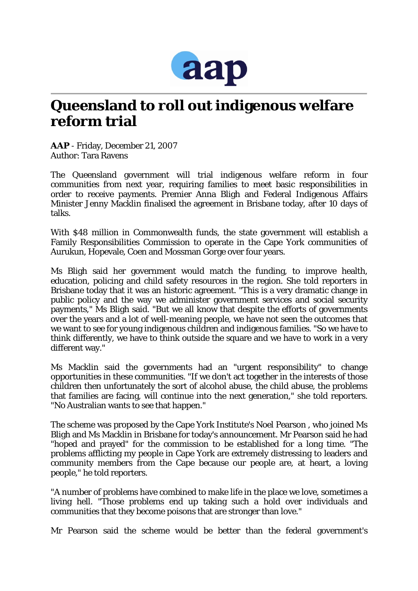

## **Queensland to roll out indigenous welfare reform trial**

*AAP* - Friday, December 21, 2007 Author: Tara Ravens

The Queensland government will trial indigenous welfare reform in four communities from next year, requiring families to meet basic responsibilities in order to receive payments. Premier Anna Bligh and Federal Indigenous Affairs Minister Jenny Macklin finalised the agreement in Brisbane today, after 10 days of talks.

With \$48 million in Commonwealth funds, the state government will establish a Family Responsibilities Commission to operate in the Cape York communities of Aurukun, Hopevale, Coen and Mossman Gorge over four years.

Ms Bligh said her government would match the funding, to improve health, education, policing and child safety resources in the region. She told reporters in Brisbane today that it was an historic agreement. "This is a very dramatic change in public policy and the way we administer government services and social security payments," Ms Bligh said. "But we all know that despite the efforts of governments over the years and a lot of well-meaning people, we have not seen the outcomes that we want to see for young indigenous children and indigenous families. "So we have to think differently, we have to think outside the square and we have to work in a very different way."

Ms Macklin said the governments had an "urgent responsibility" to change opportunities in these communities. "If we don't act together in the interests of those children then unfortunately the sort of alcohol abuse, the child abuse, the problems that families are facing, will continue into the next generation," she told reporters. "No Australian wants to see that happen."

The scheme was proposed by the Cape York Institute's Noel Pearson , who joined Ms Bligh and Ms Macklin in Brisbane for today's announcement. Mr Pearson said he had "hoped and prayed" for the commission to be established for a long time. "The problems afflicting my people in Cape York are extremely distressing to leaders and community members from the Cape because our people are, at heart, a loving people," he told reporters.

"A number of problems have combined to make life in the place we love, sometimes a living hell. "Those problems end up taking such a hold over individuals and communities that they become poisons that are stronger than love."

Mr Pearson said the scheme would be better than the federal government's